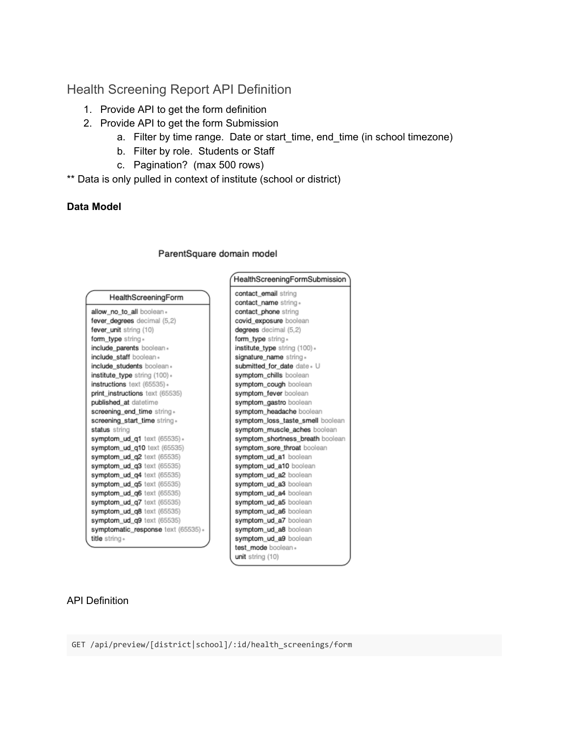# Health Screening Report API Definition

- 1. Provide API to get the form definition
- 2. Provide API to get the form Submission
	- a. Filter by time range. Date or start\_time, end\_time (in school timezone)
	- b. Filter by role. Students or Staff
	- c. Pagination? (max 500 rows)
- \*\* Data is only pulled in context of institute (school or district)

## **Data Model**

|                                     | HealthScreeningFormSubmission    |  |
|-------------------------------------|----------------------------------|--|
| HealthScreeningForm                 | contact_email string             |  |
|                                     | contact_name string »            |  |
| allow_no_to_all boolean -           | contact_phone string             |  |
| fever_degrees decimal (5,2)         | covid exposure boolean           |  |
| fever_unit string (10)              | degrees decimal (5,2)            |  |
| form_type string *                  | form_type string *               |  |
| include parents boolean -           | institute_type string (100) »    |  |
| include staff boolean »             | signature_name string »          |  |
| include students boolean -          | submitted for date date . U      |  |
| institute_type string (100) »       | symptom_chills boolean           |  |
| instructions text (65535) +         | symptom_cough boolean            |  |
| print_instructions text (65535)     | symptom_fever boolean            |  |
| published at datetime               | symptom_gastro boolean           |  |
| screening end time string.          | symptom_headache boolean         |  |
| screening start time string.        | symptom_loss_taste_smell boolean |  |
| status string                       | symptom_muscle_aches boolean     |  |
| symptom_ud_q1 text (65535) +        | symptom_shortness_breath boolean |  |
| symptom_ud_g10 text (65535)         | symptom_sore_throat boolean      |  |
| symptom_ud_q2 text (65535)          | symptom_ud_a1 boolean            |  |
| symptom_ud_q3 text (65535)          | symptom_ud_a10 boolean           |  |
| symptom_ud_q4 text (65535)          | symptom ud a2 boolean            |  |
| symptom_ud_q5 text (65535)          | symptom_ud_a3 boolean            |  |
| symptom_ud_q6 text (65535)          | symptom_ud_a4 boolean            |  |
| symptom_ud_q7 text (65535)          | symptom_ud_a5 boolean            |  |
| symptom_ud_q8 text (65535)          | symptom_ud_a6 boolean            |  |
| symptom_ud_q9 text (65535)          | symptom_ud_a7 boolean            |  |
| symptomatic_response text (65535) » | symptom_ud_a8 boolean            |  |
| title string »                      | symptom_ud_a9 boolean            |  |
|                                     | test mode boolean +              |  |
|                                     | unit string (10)                 |  |

#### ParentSquare domain model

#### API Definition

GET /api/preview/[district|school]/:id/health\_screenings/form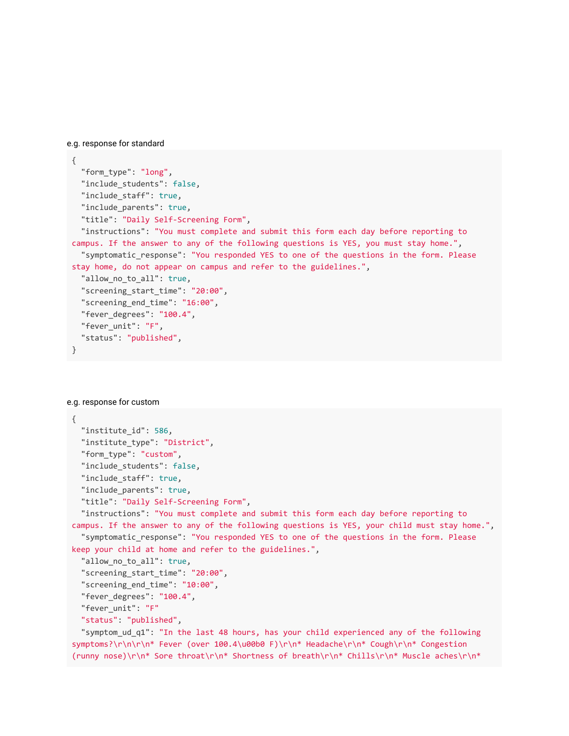e.g. response for standard

```
{ 
  "form_type": "long",
  "include_students": false,
   "include_staff": true , 
  "include_parents": true,
   "title": "Daily Self-Screening Form" , 
   "instructions": "You must complete and submit this form each day before reporting to 
campus. If the answer to any of the following questions is YES, you must stay home.",
   "symptomatic_response": "You responded YES to one of the questions in the form. Please 
stay home, do not appear on campus and refer to the guidelines." , 
  "allow_no_to_all": true,
   "screening_start_time": "20:00" , 
   "screening_end_time": "16:00" , 
   "fever_degrees": "100.4" , 
 "fever unit": "F",
   "status": "published" , 
}
```

```
e.g. response for custom
```

```
{ 
  "institute_id": 586,
   "institute_type": "District" , 
   "form_type": "custom" , 
  "include students": false,
   "include_staff": true , 
  "include_parents": true,
   "title": "Daily Self-Screening Form" , 
   "instructions": "You must complete and submit this form each day before reporting to 
campus. If the answer to any of the following questions is YES, your child must stay home.",
   "symptomatic_response": "You responded YES to one of the questions in the form. Please 
keep your child at home and refer to the guidelines." , 
  "allow_no_to_all": true,
   "screening_start_time": "20:00" , 
   "screening_end_time": "10:00" , 
   "fever_degrees": "100.4" , 
   "fever_unit": "F" 
  "status": "published",
```
 "symptom\_ud\_q1": "In the last 48 hours, has your child experienced any of the following symptoms?\r\n\r\n\* Fever (over 100.4\u00b0 F)\r\n\* Headache\r\n\* Cough\r\n\* Congestion (runny nose)\r\n\* Sore throat\r\n\* Shortness of breath\r\n\* Chills\r\n\* Muscle aches\r\n\*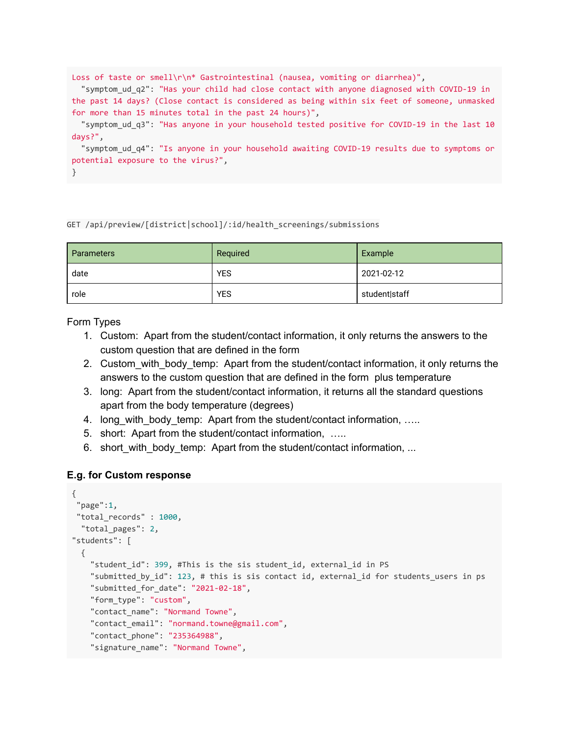```
Loss of taste or smell\r\n* Gastrointestinal (nausea, vomiting or diarrhea)",
   "symptom_ud_q2": "Has your child had close contact with anyone diagnosed with COVID-19 in 
the past 14 days? (Close contact is considered as being within six feet of someone, unmasked 
for more than 15 minutes total in the past 24 hours)",
  "symptom ud q3": "Has anyone in your household tested positive for COVID-19 in the last 10
days?" , 
   "symptom_ud_q4": "Is anyone in your household awaiting COVID-19 results due to symptoms or 
potential exposure to the virus?" , 
}
```
#### GET /api/preview/[district|school]/:id/health\_screenings/submissions

| <b>Parameters</b> | Required   | Example       |
|-------------------|------------|---------------|
| date              | <b>YES</b> | 2021-02-12    |
| role              | <b>YES</b> | student staff |

Form Types

- 1. Custom: Apart from the student/contact information, it only returns the answers to the custom question that are defined in the form
- 2. Custom with body temp: Apart from the student/contact information, it only returns the answers to the custom question that are defined in the form plus temperature
- 3. long: Apart from the student/contact information, it returns all the standard questions apart from the body temperature (degrees)
- 4. long with body temp: Apart from the student/contact information, …..
- 5. short: Apart from the student/contact information, …..
- 6. short\_with\_body\_temp: Apart from the student/contact information, ...

#### **E.g. for Custom response**

```
{ 
"page":1,
"total_records" : 1000,
 "total_pages": 2,
"students": [ 
  { 
    "student_id": 399, #This is the sis student_id, external_id in PS
     "submitted_by_id": 123 , # this is sis contact id, external_id for students_users in ps 
     "submitted_for_date": "2021-02-18" , 
    "form type": "custom",
    "contact_name": "Normand Towne",
     "contact_email": "normand.towne@gmail.com" , 
     "contact_phone": "235364988" , 
     "signature_name": "Normand Towne" ,
```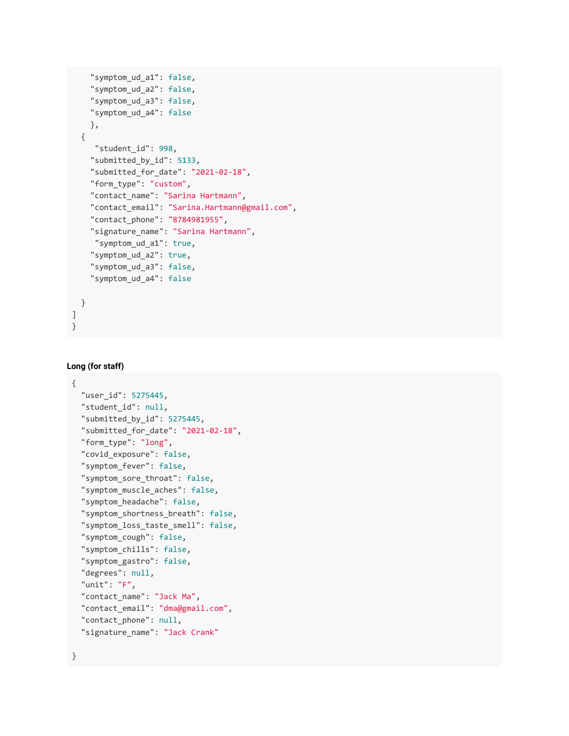```
"symptom_ud_a1": false,
    "symptom_ud_a2": false,
    "symptom_ud_a3": false,
     "symptom_ud_a4": false 
     }, 
   { 
     "student_id": 998,
     "submitted_by_id": 5133 , 
     "submitted_for_date": "2021-02-18" , 
    "form_type": "custom",
     "contact_name": "Sarina Hartmann" , 
     "contact_email": "Sarina.Hartmann@gmail.com" , 
     "contact_phone": "8784981955" , 
     "signature_name": "Sarina Hartmann" , 
      "symptom_ud_a1": true , 
    "symptom_ud_a2": true,
    "symptom ud a3": false,
     "symptom_ud_a4": false 
   } 
] 
}
```
#### **Long (for staff)**

```
{ 
  "user id": 5275445,
  "student id": null,
   "submitted_by_id": 5275445 , 
   "submitted_for_date": "2021-02-18" , 
  "form_type": "long",
  "covid_exposure": false,
  "symptom fever": false,
  "symptom_sore_throat": false,
  "symptom_muscle_aches": false,
  "symptom_headache": false,
   "symptom_shortness_breath": false , 
   "symptom_loss_taste_smell": false , 
  "symptom_cough": false,
  "symptom chills": false,
  "symptom_gastro": false,
  "degrees": null,
   "unit": "F" , 
  "contact_name": "Jack Ma",
   "contact_email": "dma@gmail.com" , 
  "contact phone": null,
   "signature_name": "Jack Crank"
```